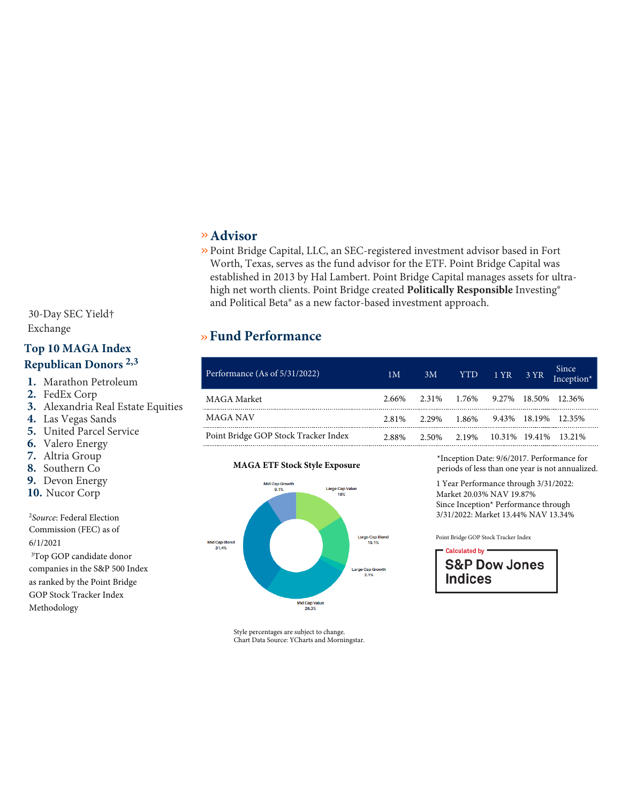# $\rm MAGA$  Point Bridge GOP Stock Tracker ETF

# »**Fund Objective**

This exchange-traded fund is made up of stocks within the S&P 500 that are highly supportive of Republican candidates for federal office including President, Vice President, Congress and other Republican Party-affiliated groups as determined by a rules-based methodology.

### »**Fund Facts**

| Fund Ticker                | <b>MAGA</b> |
|----------------------------|-------------|
| <b>CUSIP</b>               | 26922A628   |
| <b>Fund Inception Date</b> | 9/6/17      |
| <b>Expense Ratio</b>       | 0.72%       |
| 30-Day SEC Yield†          | 1.22%       |
| Exchange                   | <b>Bats</b> |

#### **Top 10 MAGA Index Republican Donors 2,3**

- **1.** Marathon Petroleum
- **2.** FedEx Corp
- **3.** Alexandria Real Estate Equities
- **4.** Las Vegas Sands
- **5.** United Parcel Service
- **6.** Valero Energy
- **7.** Altria Group
- **8.** Southern Co
- **9.** Devon Energy
- **10.** Nucor Corp

<sup>2</sup>*Source*: Federal Election Commission (FEC) as of 6/1/2021

<sup>3</sup>Top GOP candidate donor companies in the S&P 500 Index as ranked by the Point Bridge GOP Stock Tracker Index Methodology

## »**Fund Description**

»The Point Bridge GOP Stock Tracker ETF (MAGA) seeks to track the performance of the Point Bridge GOP Stock Tracker Index ("MAGA Index"), an equal-weight custom index derived from holdings in the S&P 500 Index.

- Using a rules-based methodology, the Index selects the top 150 Republican/ GOP stocks from the S&P 500 based on the political contributions of the company PACs and employees during the previous two election cycles.
- MAGA is the first ETF of its kind, providing investors with the opportunity to make investment decisions based on their Republican political beliefs

# » **Advisor**

» Point Bridge Capital, LLC, an SEC-registered investment advisor based in Fort Worth, Texas, serves as the fund advisor for the ETF. Point Bridge Capital was established in 2013 by Hal Lambert. Point Bridge Capital manages assets for ultrahigh net worth clients. Point Bridge created **Politically Responsible** Investing® and Political Beta® as a new factor-based investment approach.

# »**Fund Performance**

| Performance (As of 5/31/2022)        | 1 <sub>M</sub> | 3M                                          | <b>YTD</b> | $1$ YR $3$ YR | Since<br>Inception* |
|--------------------------------------|----------------|---------------------------------------------|------------|---------------|---------------------|
| MAGA Market                          |                | 2.66% 2.31% 1.76% 9.27% 18.50% 12.36%       |            |               |                     |
| MAGA NAV                             |                | 2.81\% 2.29\% 1.86\% 9.43\% 18.19\% 12.35\% |            |               |                     |
| Point Bridge GOP Stock Tracker Index | 2.88%          | 2.50% 2.19% 10.31% 19.41% 13.21%            |            |               |                     |

#### **MAGA ETF Stock Style Exposure**



\*Inception Date: 9/6/2017. Performance for periods of less than one year is not annualized.

1 Year Performance through 3/31/2022: Market 20.03% NAV 19.87% Since Inception\* Performance through 3/31/2022: Market 13.44% NAV 13.34%

Point Bridge GOP Stock Tracker Index



Style percentages are subject to change. Chart Data Source: YCharts and Morningstar.

*Performance data quoted represents past performance. Past performance is not a guarantee of future results and current performance may be higher or lower than performance quoted. Investment returns and principal value will fluctuate and shares when sold or redeemed, may be worth more or less than their original cost.*

*Shares are bought and sold at market price (closing price) not net asset value (NAV) and are not individually redeemed from the Fund. Brokerage commissions will reduce returns.*

†30-day SEC Yield is an annualization of the Fund's total total net investment income per share for the 30-day period ended on the last day of the month.